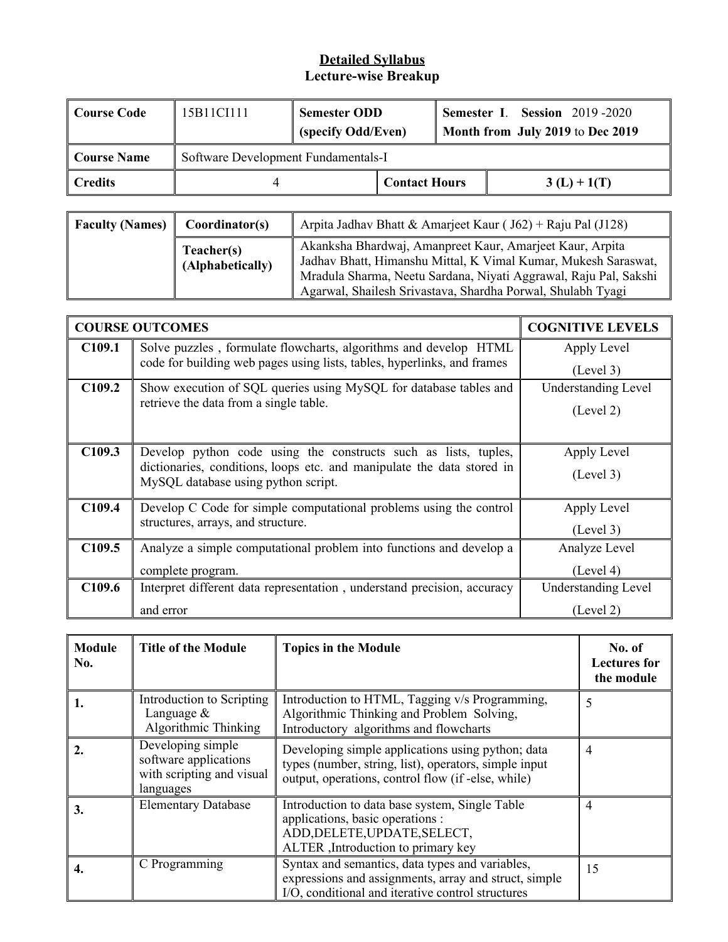#### **Detailed Syllabus Lecture-wise Breakup**

| <b>Course Code</b> | 15B11CI111                          | <b>Semester ODD</b><br>(specify Odd/Even) |  |               | <b>Semester I. Session 2019-2020</b><br>Month from July 2019 to Dec 2019 |
|--------------------|-------------------------------------|-------------------------------------------|--|---------------|--------------------------------------------------------------------------|
| Course Name        | Software Development Fundamentals-I |                                           |  |               |                                                                          |
| <b>Credits</b>     |                                     | <b>Contact Hours</b>                      |  | $3(L) + 1(T)$ |                                                                          |

| <b>Faculty (Names)</b> | Coordinator(s)                 | Arpita Jadhav Bhatt & Amarjeet Kaur ( $J62$ ) + Raju Pal (J128)                                                                                                                                                                                               |
|------------------------|--------------------------------|---------------------------------------------------------------------------------------------------------------------------------------------------------------------------------------------------------------------------------------------------------------|
|                        | Teacher(s)<br>(Alphabetically) | Akanksha Bhardwaj, Amanpreet Kaur, Amarjeet Kaur, Arpita<br>Jadhav Bhatt, Himanshu Mittal, K Vimal Kumar, Mukesh Saraswat,<br>Mradula Sharma, Neetu Sardana, Niyati Aggrawal, Raju Pal, Sakshi<br>Agarwal, Shailesh Srivastava, Shardha Porwal, Shulabh Tyagi |

|                    | <b>COURSE OUTCOMES</b>                                                                                                                                                           | <b>COGNITIVE LEVELS</b>    |
|--------------------|----------------------------------------------------------------------------------------------------------------------------------------------------------------------------------|----------------------------|
| C109.1             | Solve puzzles, formulate flowcharts, algorithms and develop HTML                                                                                                                 | Apply Level                |
|                    | code for building web pages using lists, tables, hyperlinks, and frames                                                                                                          | (Level 3)                  |
| C <sub>109.2</sub> | Show execution of SQL queries using MySQL for database tables and                                                                                                                | <b>Understanding Level</b> |
|                    | retrieve the data from a single table.                                                                                                                                           | (Level 2)                  |
| C <sub>109.3</sub> | Develop python code using the constructs such as lists, tuples,<br>dictionaries, conditions, loops etc. and manipulate the data stored in<br>MySQL database using python script. | Apply Level<br>(Level 3)   |
| C109.4             | Develop C Code for simple computational problems using the control<br>structures, arrays, and structure.                                                                         | Apply Level<br>(Level 3)   |
| C <sub>109.5</sub> | Analyze a simple computational problem into functions and develop a                                                                                                              | Analyze Level              |
|                    | complete program.                                                                                                                                                                | (Level 4)                  |
| C <sub>109.6</sub> | Interpret different data representation, understand precision, accuracy                                                                                                          | Understanding Level        |
|                    | and error                                                                                                                                                                        | (Level 2)                  |

| <b>Module</b><br>No. | <b>Title of the Module</b>                                                           | <b>Topics in the Module</b>                                                                                                                                      | No. of<br><b>Lectures for</b><br>the module |
|----------------------|--------------------------------------------------------------------------------------|------------------------------------------------------------------------------------------------------------------------------------------------------------------|---------------------------------------------|
|                      | Introduction to Scripting<br>Language $\&$<br>Algorithmic Thinking                   | Introduction to HTML, Tagging v/s Programming,<br>Algorithmic Thinking and Problem Solving,<br>Introductory algorithms and flowcharts                            | 5                                           |
|                      | Developing simple<br>software applications<br>with scripting and visual<br>languages | Developing simple applications using python; data<br>types (number, string, list), operators, simple input<br>output, operations, control flow (if -else, while) | 4                                           |
| 3.                   | <b>Elementary Database</b>                                                           | Introduction to data base system, Single Table<br>applications, basic operations :<br>ADD, DELETE, UPDATE, SELECT,<br>ALTER , Introduction to primary key        | 4                                           |
|                      | C Programming                                                                        | Syntax and semantics, data types and variables,<br>expressions and assignments, array and struct, simple<br>I/O, conditional and iterative control structures    | 15                                          |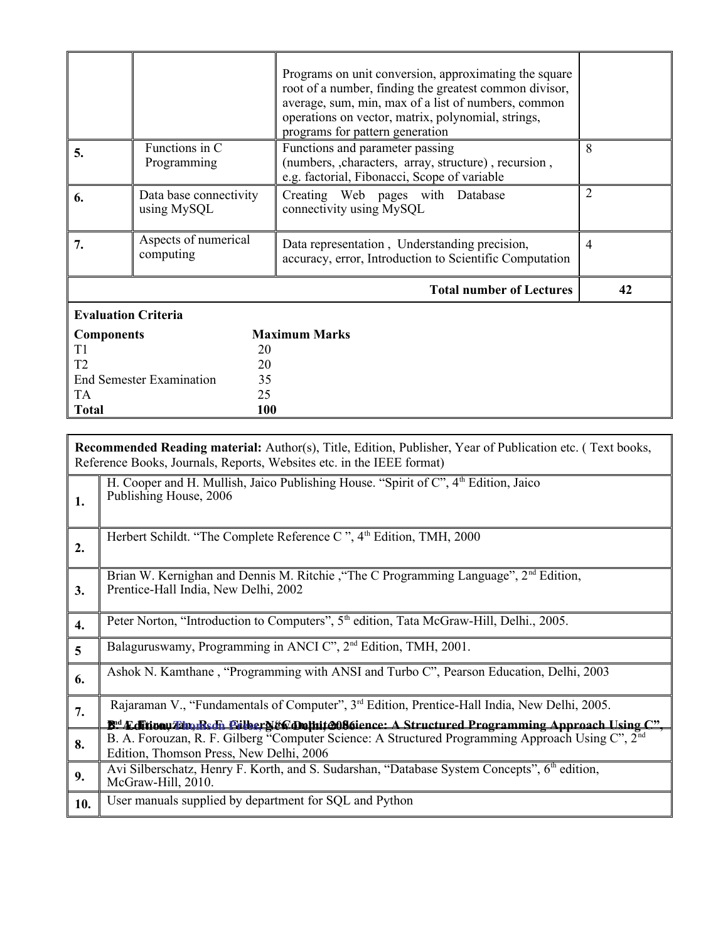|                                       |                                       | Programs on unit conversion, approximating the square<br>root of a number, finding the greatest common divisor,<br>average, sum, min, max of a list of numbers, common<br>operations on vector, matrix, polynomial, strings,<br>programs for pattern generation |                |
|---------------------------------------|---------------------------------------|-----------------------------------------------------------------------------------------------------------------------------------------------------------------------------------------------------------------------------------------------------------------|----------------|
| 5.                                    | Functions in C<br>Programming         | Functions and parameter passing<br>(numbers, characters, array, structure), recursion,<br>e.g. factorial, Fibonacci, Scope of variable                                                                                                                          | 8              |
| 6.                                    | Data base connectivity<br>using MySQL | Creating Web pages with Database<br>connectivity using MySQL                                                                                                                                                                                                    | $\overline{2}$ |
| 7.                                    | Aspects of numerical<br>computing     | Data representation, Understanding precision,<br>accuracy, error, Introduction to Scientific Computation                                                                                                                                                        | 4              |
|                                       |                                       | <b>Total number of Lectures</b>                                                                                                                                                                                                                                 | 42             |
| <b>Evaluation Criteria</b>            |                                       |                                                                                                                                                                                                                                                                 |                |
| <b>Components</b>                     |                                       | <b>Maximum Marks</b>                                                                                                                                                                                                                                            |                |
| T1                                    | 20                                    |                                                                                                                                                                                                                                                                 |                |
| T <sub>2</sub>                        | 20                                    |                                                                                                                                                                                                                                                                 |                |
| 35<br><b>End Semester Examination</b> |                                       |                                                                                                                                                                                                                                                                 |                |
| TA                                    | 25                                    |                                                                                                                                                                                                                                                                 |                |
| <b>Total</b>                          | 100                                   |                                                                                                                                                                                                                                                                 |                |

|                  | <b>Recommended Reading material:</b> Author(s), Title, Edition, Publisher, Year of Publication etc. (Text books,<br>Reference Books, Journals, Reports, Websites etc. in the IEEE format)                                         |
|------------------|-----------------------------------------------------------------------------------------------------------------------------------------------------------------------------------------------------------------------------------|
| 1.               | H. Cooper and H. Mullish, Jaico Publishing House. "Spirit of C", 4 <sup>th</sup> Edition, Jaico<br>Publishing House, 2006                                                                                                         |
| 2.               | Herbert Schildt. "The Complete Reference C", 4 <sup>th</sup> Edition, TMH, 2000                                                                                                                                                   |
| 3.               | Brian W. Kernighan and Dennis M. Ritchie, "The C Programming Language", 2 <sup>nd</sup> Edition,<br>Prentice-Hall India, New Delhi, 2002                                                                                          |
| $\overline{4}$ . | Peter Norton, "Introduction to Computers", 5 <sup>th</sup> edition, Tata McGraw-Hill, Delhi., 2005.                                                                                                                               |
| $\overline{5}$   | Balaguruswamy, Programming in ANCI C", 2 <sup>nd</sup> Edition, TMH, 2001.                                                                                                                                                        |
| 6.               | Ashok N. Kamthane, "Programming with ANSI and Turbo C", Pearson Education, Delhi, 2003                                                                                                                                            |
| 7.               | Rajaraman V., "Fundamentals of Computer", 3 <sup>rd</sup> Edition, Prentice-Hall India, New Delhi, 2005.<br><b>B<sup>ed</sup> Edition Tim, Redi. CilberN&amp;C Opthit 2086</b> ience: A Structured Programming Approach Using C". |
| 8.               | B. A. Forouzan, R. F. Gilberg "Computer Science: A Structured Programming Approach Using C", 2 <sup>nd</sup><br>Edition, Thomson Press, New Delhi, 2006                                                                           |
| 9.               | Avi Silberschatz, Henry F. Korth, and S. Sudarshan, "Database System Concepts", 6th edition,<br>McGraw-Hill, 2010.                                                                                                                |
| 10.              | User manuals supplied by department for SQL and Python                                                                                                                                                                            |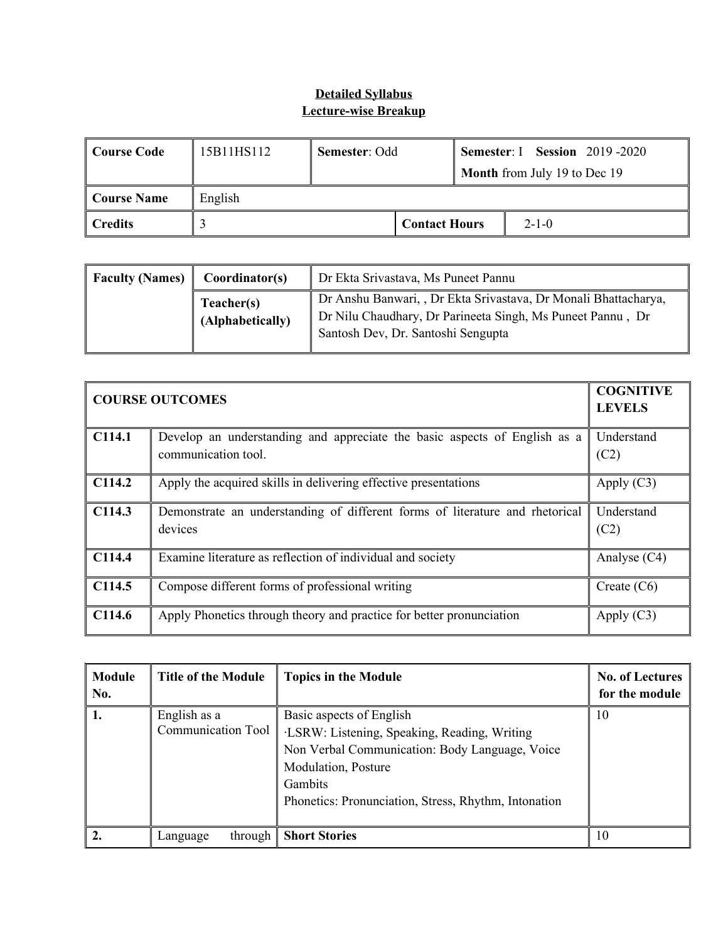#### **Detailed Syllabus Lecture-wise Breakup**

| ∣ Course Code       | 15B11HS112 | <b>Semester: I Session 2019-2020</b><br>Semester: Odd |  |  |                                     |
|---------------------|------------|-------------------------------------------------------|--|--|-------------------------------------|
|                     |            |                                                       |  |  | <b>Month</b> from July 19 to Dec 19 |
| Course Name         | English    |                                                       |  |  |                                     |
| $\parallel$ Credits |            | <b>Contact Hours</b><br>$2 - 1 - 0$                   |  |  |                                     |

| <b>Faculty (Names)</b> | Coordinator(s)                 | Dr Ekta Srivastava, Ms Puneet Pannu                                                                                                                                 |
|------------------------|--------------------------------|---------------------------------------------------------------------------------------------------------------------------------------------------------------------|
|                        | Teacher(s)<br>(Alphabetically) | Dr Anshu Banwari, , Dr Ekta Srivastava, Dr Monali Bhattacharya,<br>Dr Nilu Chaudhary, Dr Parineeta Singh, Ms Puneet Pannu, Dr<br>Santosh Dev, Dr. Santoshi Sengupta |

|        | <b>COURSE OUTCOMES</b>                                                                           | <b>COGNITIVE</b><br><b>LEVELS</b> |
|--------|--------------------------------------------------------------------------------------------------|-----------------------------------|
| C114.1 | Develop an understanding and appreciate the basic aspects of English as a<br>communication tool. | Understand<br>(C2)                |
| C114.2 | Apply the acquired skills in delivering effective presentations                                  | Apply $(C3)$                      |
| C114.3 | Demonstrate an understanding of different forms of literature and rhetorical<br>devices          | Understand<br>(C2)                |
| C114.4 | Examine literature as reflection of individual and society                                       | Analyse (C4)                      |
| C114.5 | Compose different forms of professional writing                                                  | Create $(C6)$                     |
| C114.6 | Apply Phonetics through theory and practice for better pronunciation                             | Apply $(C3)$                      |

| <b>Module</b><br>No. | <b>Title of the Module</b>         | <b>Topics in the Module</b>                                                                                                                                                                                          | <b>No. of Lectures</b><br>for the module |
|----------------------|------------------------------------|----------------------------------------------------------------------------------------------------------------------------------------------------------------------------------------------------------------------|------------------------------------------|
|                      | English as a<br>Communication Tool | Basic aspects of English<br>·LSRW: Listening, Speaking, Reading, Writing<br>Non Verbal Communication: Body Language, Voice<br>Modulation, Posture<br>Gambits<br>Phonetics: Pronunciation, Stress, Rhythm, Intonation | 10                                       |
|                      | through $\ $<br>Language           | <b>Short Stories</b>                                                                                                                                                                                                 | 10                                       |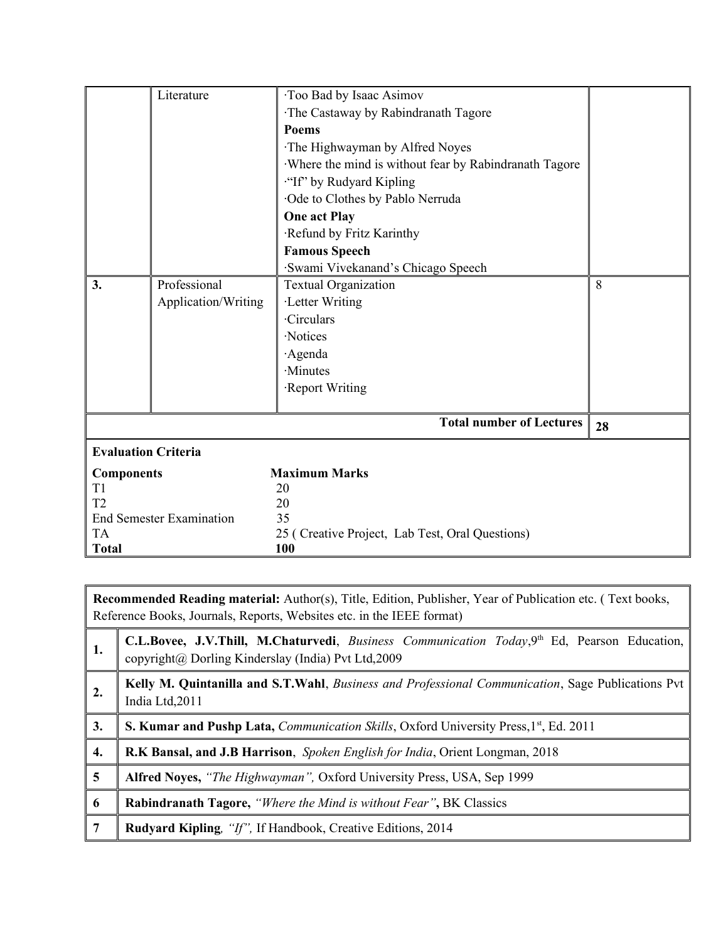|                            | Literature                      | Too Bad by Isaac Asimov                               |    |  |
|----------------------------|---------------------------------|-------------------------------------------------------|----|--|
|                            |                                 | The Castaway by Rabindranath Tagore                   |    |  |
|                            |                                 | Poems                                                 |    |  |
|                            |                                 | The Highwayman by Alfred Noyes                        |    |  |
|                            |                                 | Where the mind is without fear by Rabindranath Tagore |    |  |
|                            |                                 | "If" by Rudyard Kipling                               |    |  |
|                            |                                 | Ode to Clothes by Pablo Nerruda                       |    |  |
|                            |                                 | <b>One act Play</b>                                   |    |  |
|                            |                                 | Refund by Fritz Karinthy                              |    |  |
|                            |                                 | <b>Famous Speech</b>                                  |    |  |
|                            |                                 | Swami Vivekanand's Chicago Speech                     |    |  |
| 3.                         | Professional                    | <b>Textual Organization</b>                           | 8  |  |
|                            | Application/Writing             | ·Letter Writing                                       |    |  |
|                            |                                 | <b>Circulars</b>                                      |    |  |
|                            |                                 | ·Notices                                              |    |  |
|                            |                                 | Agenda                                                |    |  |
|                            |                                 | ·Minutes                                              |    |  |
|                            |                                 | Report Writing                                        |    |  |
|                            |                                 |                                                       |    |  |
|                            |                                 | <b>Total number of Lectures</b>                       | 28 |  |
| <b>Evaluation Criteria</b> |                                 |                                                       |    |  |
| <b>Components</b>          |                                 | <b>Maximum Marks</b>                                  |    |  |
| T1                         |                                 | 20                                                    |    |  |
| T <sub>2</sub>             |                                 | 20                                                    |    |  |
|                            | <b>End Semester Examination</b> | 35                                                    |    |  |
| <b>TA</b>                  |                                 | 25 (Creative Project, Lab Test, Oral Questions)       |    |  |
| <b>Total</b>               |                                 | 100                                                   |    |  |

**Recommended Reading material:** Author(s), Title, Edition, Publisher, Year of Publication etc. ( Text books, Reference Books, Journals, Reports, Websites etc. in the IEEE format)

| 1. | C.L.Bovee, J.V.Thill, M.Chaturvedi, Business Communication Today, 9th Ed, Pearson Education,<br>copyright@ Dorling Kinderslay (India) Pvt Ltd,2009 |
|----|----------------------------------------------------------------------------------------------------------------------------------------------------|
| 2. | Kelly M. Quintanilla and S.T.Wahl, Business and Professional Communication, Sage Publications Pvt<br>India Ltd, 2011                               |
| 3. | <b>S. Kumar and Pushp Lata, Communication Skills, Oxford University Press, 1st, Ed. 2011</b>                                                       |
| 4. | R.K Bansal, and J.B Harrison, Spoken English for India, Orient Longman, 2018                                                                       |
| 5  | Alfred Noyes, "The Highwayman", Oxford University Press, USA, Sep 1999                                                                             |
| 6  | <b>Rabindranath Tagore,</b> "Where the Mind is without Fear", BK Classics                                                                          |
|    | <b>Rudyard Kipling, "If", If Handbook, Creative Editions, 2014</b>                                                                                 |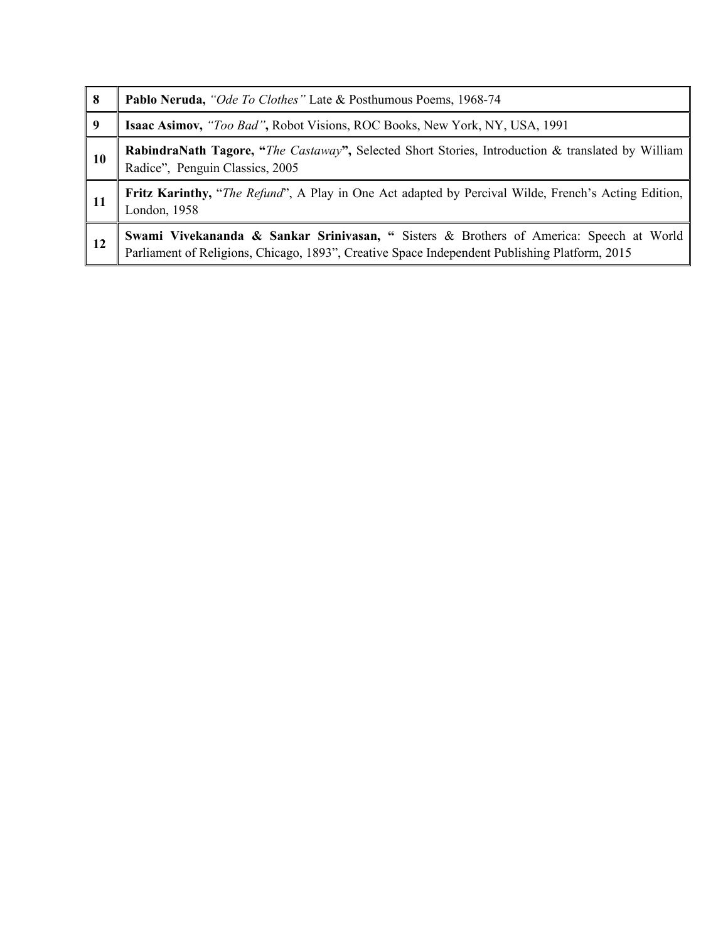| 8  | Pablo Neruda, "Ode To Clothes" Late & Posthumous Poems, 1968-74                                                                                                                                     |
|----|-----------------------------------------------------------------------------------------------------------------------------------------------------------------------------------------------------|
| 9  | <b>Isaac Asimov,</b> "Too Bad", Robot Visions, ROC Books, New York, NY, USA, 1991                                                                                                                   |
| 10 | <b>RabindraNath Tagore, "The Castaway", Selected Short Stories, Introduction &amp; translated by William</b><br>Radice", Penguin Classics, 2005                                                     |
| 11 | <b>Fritz Karinthy,</b> " <i>The Refund</i> ", A Play in One Act adapted by Percival Wilde, French's Acting Edition,<br>London, 1958                                                                 |
| 12 | <b>Swami Vivekananda &amp; Sankar Srinivasan, "</b> Sisters & Brothers of America: Speech at World<br>Parliament of Religions, Chicago, 1893", Creative Space Independent Publishing Platform, 2015 |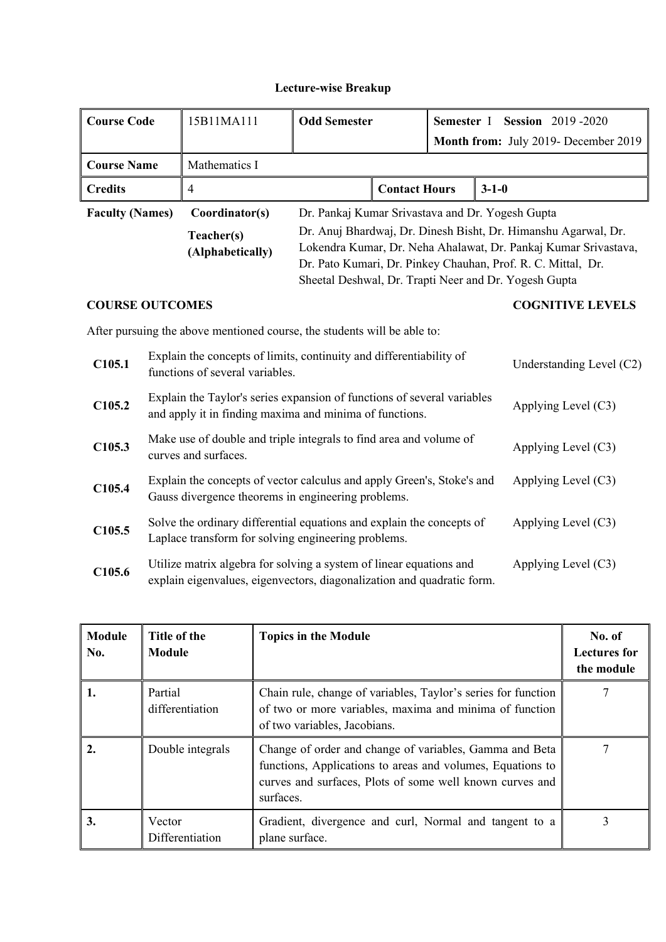#### **Lecture-wise Breakup**

| <b>Course Code</b>                                                                                                                     |  | 15B11MA111                                                               | <b>Odd Semester</b>                                                                                                                |                      |                          | Semester I Session 2019-2020<br>Month from: July 2019- December 2019                                                                                                                                                                                       |  |  |
|----------------------------------------------------------------------------------------------------------------------------------------|--|--------------------------------------------------------------------------|------------------------------------------------------------------------------------------------------------------------------------|----------------------|--------------------------|------------------------------------------------------------------------------------------------------------------------------------------------------------------------------------------------------------------------------------------------------------|--|--|
| <b>Course Name</b>                                                                                                                     |  | Mathematics I                                                            |                                                                                                                                    |                      |                          |                                                                                                                                                                                                                                                            |  |  |
| <b>Credits</b>                                                                                                                         |  | $\overline{4}$                                                           |                                                                                                                                    | <b>Contact Hours</b> |                          | $3 - 1 - 0$                                                                                                                                                                                                                                                |  |  |
| <b>Faculty (Names)</b>                                                                                                                 |  | Coordinator(s)                                                           |                                                                                                                                    |                      |                          | Dr. Pankaj Kumar Srivastava and Dr. Yogesh Gupta                                                                                                                                                                                                           |  |  |
|                                                                                                                                        |  | Teacher(s)<br>(Alphabetically)                                           |                                                                                                                                    |                      |                          | Dr. Anuj Bhardwaj, Dr. Dinesh Bisht, Dr. Himanshu Agarwal, Dr.<br>Lokendra Kumar, Dr. Neha Ahalawat, Dr. Pankaj Kumar Srivastava,<br>Dr. Pato Kumari, Dr. Pinkey Chauhan, Prof. R. C. Mittal, Dr.<br>Sheetal Deshwal, Dr. Trapti Neer and Dr. Yogesh Gupta |  |  |
| <b>COURSE OUTCOMES</b>                                                                                                                 |  |                                                                          |                                                                                                                                    |                      |                          | <b>COGNITIVE LEVELS</b>                                                                                                                                                                                                                                    |  |  |
|                                                                                                                                        |  | After pursuing the above mentioned course, the students will be able to: |                                                                                                                                    |                      |                          |                                                                                                                                                                                                                                                            |  |  |
| C105.1                                                                                                                                 |  | functions of several variables.                                          | Explain the concepts of limits, continuity and differentiability of                                                                |                      | Understanding Level (C2) |                                                                                                                                                                                                                                                            |  |  |
| C105.2                                                                                                                                 |  |                                                                          | Explain the Taylor's series expansion of functions of several variables<br>and apply it in finding maxima and minima of functions. |                      | Applying Level (C3)      |                                                                                                                                                                                                                                                            |  |  |
| C105.3<br>curves and surfaces.                                                                                                         |  |                                                                          | Make use of double and triple integrals to find area and volume of                                                                 |                      | Applying Level (C3)      |                                                                                                                                                                                                                                                            |  |  |
| C <sub>105.4</sub><br>Gauss divergence theorems in engineering problems.                                                               |  | Explain the concepts of vector calculus and apply Green's, Stoke's and   |                                                                                                                                    | Applying Level (C3)  |                          |                                                                                                                                                                                                                                                            |  |  |
| Solve the ordinary differential equations and explain the concepts of<br>C105.5<br>Laplace transform for solving engineering problems. |  |                                                                          |                                                                                                                                    |                      |                          | Applying Level $(C3)$                                                                                                                                                                                                                                      |  |  |

**C105.6** Utilize matrix algebra for solving a system of linear equations and explain eigenvalues, eigenvectors, diagonalization and quadratic form. Applying Level (C3)

| <b>Module</b><br>No. | Title of the<br>Module     | <b>Topics in the Module</b>                                                                                                                                                                    | No. of<br><b>Lectures for</b><br>the module |
|----------------------|----------------------------|------------------------------------------------------------------------------------------------------------------------------------------------------------------------------------------------|---------------------------------------------|
|                      | Partial<br>differentiation | Chain rule, change of variables, Taylor's series for function<br>of two or more variables, maxima and minima of function<br>of two variables, Jacobians.                                       |                                             |
| 2.                   | Double integrals           | Change of order and change of variables, Gamma and Beta<br>functions, Applications to areas and volumes, Equations to<br>curves and surfaces, Plots of some well known curves and<br>surfaces. |                                             |
| 3.                   | Vector<br>Differentiation  | Gradient, divergence and curl, Normal and tangent to a<br>plane surface.                                                                                                                       |                                             |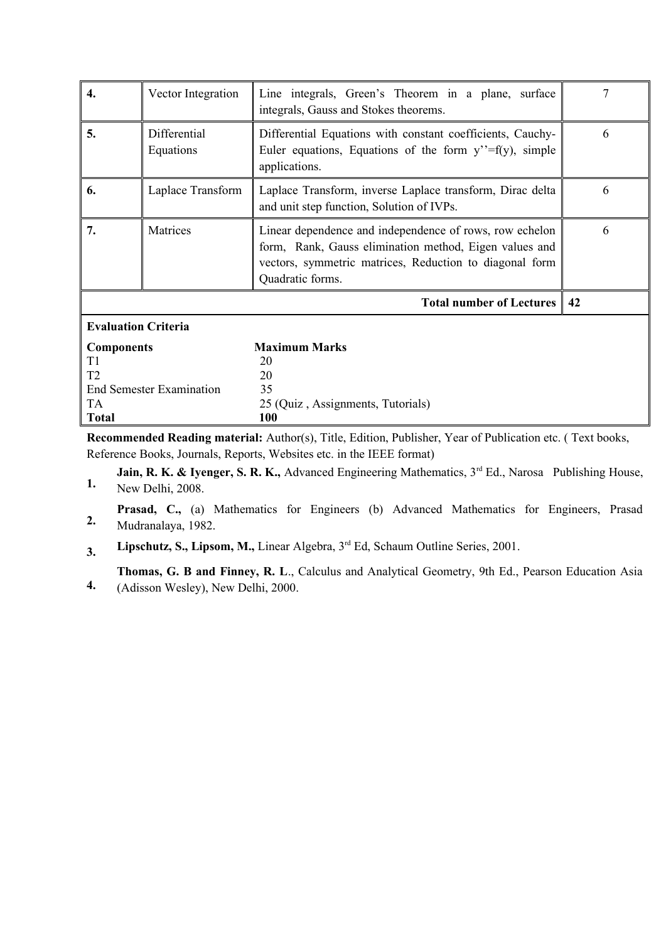| 4.                         | Vector Integration<br>Line integrals, Green's Theorem in a plane, surface<br>integrals, Gauss and Stokes theorems. |                                                                                                                                                                                                  | 7 |  |  |  |
|----------------------------|--------------------------------------------------------------------------------------------------------------------|--------------------------------------------------------------------------------------------------------------------------------------------------------------------------------------------------|---|--|--|--|
| 5.                         | Differential<br>Equations                                                                                          | Differential Equations with constant coefficients, Cauchy-<br>Euler equations, Equations of the form $y''=f(y)$ , simple<br>applications.                                                        | 6 |  |  |  |
| 6.                         | Laplace Transform                                                                                                  | Laplace Transform, inverse Laplace transform, Dirac delta<br>and unit step function, Solution of IVPs.                                                                                           | 6 |  |  |  |
| 7.                         | Matrices                                                                                                           | Linear dependence and independence of rows, row echelon<br>form, Rank, Gauss elimination method, Eigen values and<br>vectors, symmetric matrices, Reduction to diagonal form<br>Quadratic forms. | 6 |  |  |  |
|                            |                                                                                                                    | Total number of Lectures   42                                                                                                                                                                    |   |  |  |  |
| <b>Evaluation Criteria</b> |                                                                                                                    |                                                                                                                                                                                                  |   |  |  |  |
| <b>Components</b>          |                                                                                                                    | <b>Maximum Marks</b>                                                                                                                                                                             |   |  |  |  |
| T1                         |                                                                                                                    | 20                                                                                                                                                                                               |   |  |  |  |
| T <sub>2</sub>             |                                                                                                                    | 20                                                                                                                                                                                               |   |  |  |  |
|                            | <b>End Semester Examination</b>                                                                                    | 35                                                                                                                                                                                               |   |  |  |  |
| <b>TA</b>                  |                                                                                                                    | 25 (Quiz, Assignments, Tutorials)                                                                                                                                                                |   |  |  |  |
| <b>Total</b>               |                                                                                                                    | <b>100</b>                                                                                                                                                                                       |   |  |  |  |

**Recommended Reading material:** Author(s), Title, Edition, Publisher, Year of Publication etc. ( Text books, Reference Books, Journals, Reports, Websites etc. in the IEEE format)

**1. Jain, R. K. & Iyenger, S. R. K., Advanced Engineering Mathematics, 3<sup>rd</sup> Ed., Narosa Publishing House,** New Delhi, 2008.

**2.** Prasad, C., (a) Mathematics for Engineers (b) Advanced Mathematics for Engineers, Prasad Mudranalaya, 1982.

**3. Lipschutz, S., Lipsom, M.,** Linear Algebra, 3rd Ed, Schaum Outline Series, 2001.

**Thomas, G. B and Finney, R. L**., Calculus and Analytical Geometry, 9th Ed., Pearson Education Asia

**4.** (Adisson Wesley), New Delhi, 2000.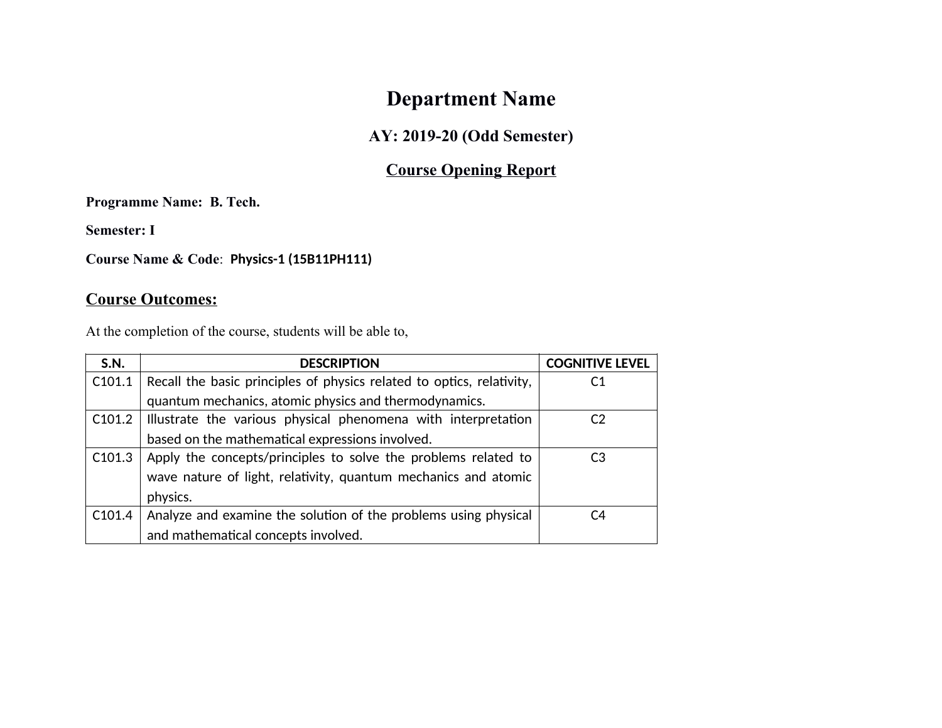# **Department Name**

### **AY: 2019-20 (Odd Semester)**

## **Course Opening Report**

**Programme Name: B. Tech.**

**Semester: I**

**Course Name & Code**: **Physics-1 (15B11PH111)**

## **Course Outcomes:**

At the completion of the course, students will be able to,

| S.N.               | <b>DESCRIPTION</b>                                                    | <b>COGNITIVE LEVEL</b> |
|--------------------|-----------------------------------------------------------------------|------------------------|
| C <sub>101.1</sub> | Recall the basic principles of physics related to optics, relativity, | C1                     |
|                    | quantum mechanics, atomic physics and thermodynamics.                 |                        |
| C101.2             | Illustrate the various physical phenomena with interpretation         | C <sub>2</sub>         |
|                    | based on the mathematical expressions involved.                       |                        |
| C <sub>101.3</sub> | Apply the concepts/principles to solve the problems related to        | C <sub>3</sub>         |
|                    | wave nature of light, relativity, quantum mechanics and atomic        |                        |
|                    | physics.                                                              |                        |
| C <sub>101.4</sub> | Analyze and examine the solution of the problems using physical       | C4                     |
|                    | and mathematical concepts involved.                                   |                        |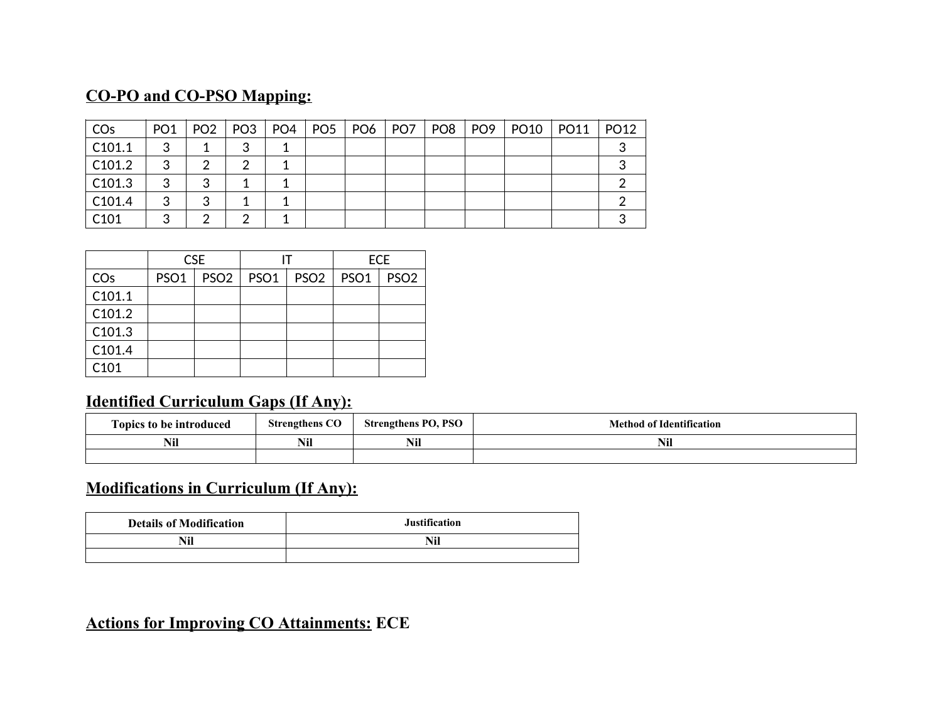## **CO-PO and CO-PSO Mapping:**

| CO <sub>s</sub>    | PO <sub>1</sub> | PO <sub>2</sub> | PO <sub>3</sub> | PO <sub>4</sub> | PO <sub>5</sub> | $ $ PO6 | PO <sub>7</sub> | PO <sub>8</sub> | PO <sub>9</sub> | PO <sub>10</sub> | <b>PO11</b> | PO <sub>12</sub> |
|--------------------|-----------------|-----------------|-----------------|-----------------|-----------------|---------|-----------------|-----------------|-----------------|------------------|-------------|------------------|
| C101.1             | 3               |                 | 3               |                 |                 |         |                 |                 |                 |                  |             |                  |
| C <sub>101.2</sub> | 3               | 2               | າ               |                 |                 |         |                 |                 |                 |                  |             |                  |
| C <sub>101.3</sub> | 3               | 3               |                 |                 |                 |         |                 |                 |                 |                  |             |                  |
| C101.4             | 3               | 3               |                 |                 |                 |         |                 |                 |                 |                  |             |                  |
| C <sub>101</sub>   | 3               | າ               |                 |                 |                 |         |                 |                 |                 |                  |             |                  |

|        | <b>CSE</b>       |                  |  |                    | <b>ECE</b> |                  |
|--------|------------------|------------------|--|--------------------|------------|------------------|
| COs    | PSO <sub>1</sub> | PSO <sub>2</sub> |  | PSO1   PSO2   PSO1 |            | PSO <sub>2</sub> |
| C101.1 |                  |                  |  |                    |            |                  |
| C101.2 |                  |                  |  |                    |            |                  |
| C101.3 |                  |                  |  |                    |            |                  |
| C101.4 |                  |                  |  |                    |            |                  |
| C101   |                  |                  |  |                    |            |                  |

## **Identified Curriculum Gaps (If Any):**

| --<br>Copics to be introduced | <b>Strengthens CO</b> | <b>Strengthens PO, PSO</b> | <b>Method of Identification</b> |
|-------------------------------|-----------------------|----------------------------|---------------------------------|
| Nil                           | <br>NIJ               | $\blacksquare$<br>Nıl      | <b>BTOP</b><br>NII              |
|                               |                       |                            |                                 |

## **Modifications in Curriculum (If Any):**

| <b>Details of Modification</b> | <b>Justification</b> |
|--------------------------------|----------------------|
|                                | Nil                  |
|                                |                      |

## **Actions for Improving CO Attainments: ECE**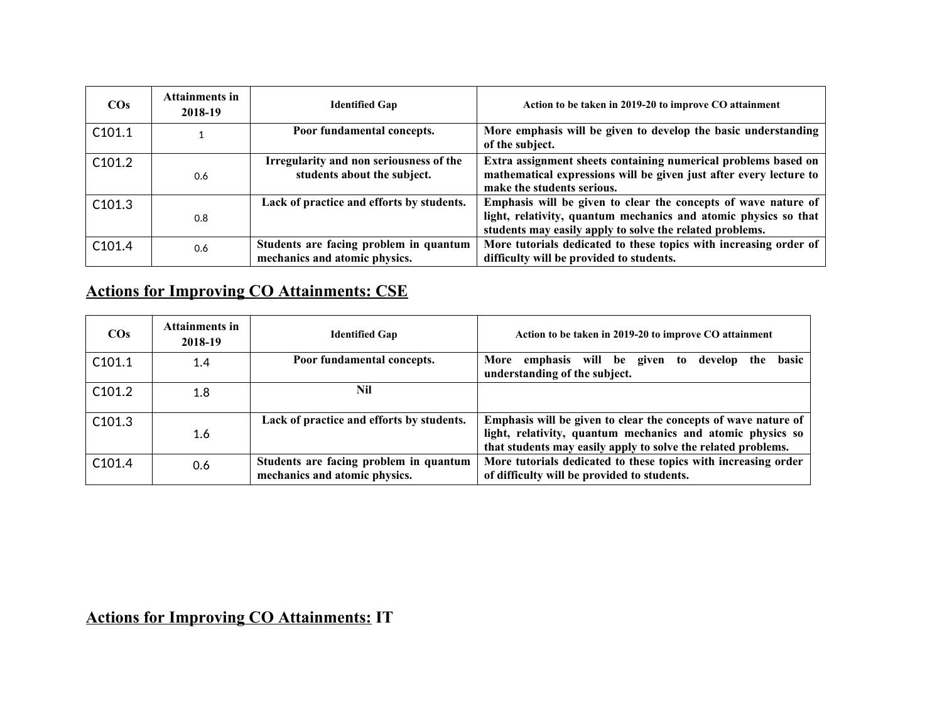| $\cos$             | Attainments in<br>2018-19 | <b>Identified Gap</b>                                                   | Action to be taken in 2019-20 to improve CO attainment                                                                                                                                        |
|--------------------|---------------------------|-------------------------------------------------------------------------|-----------------------------------------------------------------------------------------------------------------------------------------------------------------------------------------------|
| C <sub>101.1</sub> |                           | Poor fundamental concepts.                                              | More emphasis will be given to develop the basic understanding<br>of the subject.                                                                                                             |
| C101.2             | 0.6                       | Irregularity and non seriousness of the<br>students about the subject.  | Extra assignment sheets containing numerical problems based on<br>mathematical expressions will be given just after every lecture to<br>make the students serious.                            |
| C <sub>101.3</sub> | 0.8                       | Lack of practice and efforts by students.                               | Emphasis will be given to clear the concepts of wave nature of<br>light, relativity, quantum mechanics and atomic physics so that<br>students may easily apply to solve the related problems. |
| C101.4             | 0.6                       | Students are facing problem in quantum<br>mechanics and atomic physics. | More tutorials dedicated to these topics with increasing order of<br>difficulty will be provided to students.                                                                                 |

# **Actions for Improving CO Attainments: CSE**

| $\cos$             | Attainments in<br>2018-19 | <b>Identified Gap</b>                                                   | Action to be taken in 2019-20 to improve CO attainment                                                                                                                                        |
|--------------------|---------------------------|-------------------------------------------------------------------------|-----------------------------------------------------------------------------------------------------------------------------------------------------------------------------------------------|
| C101.1             | 1.4                       | Poor fundamental concepts.                                              | basic<br>More emphasis will be given<br>develop the<br>to<br>understanding of the subject.                                                                                                    |
| C101.2             | 1.8                       | Nil                                                                     |                                                                                                                                                                                               |
| C <sub>101.3</sub> | 1.6                       | Lack of practice and efforts by students.                               | Emphasis will be given to clear the concepts of wave nature of<br>light, relativity, quantum mechanics and atomic physics so<br>that students may easily apply to solve the related problems. |
| C <sub>101.4</sub> | 0.6                       | Students are facing problem in quantum<br>mechanics and atomic physics. | More tutorials dedicated to these topics with increasing order<br>of difficulty will be provided to students.                                                                                 |

# **Actions for Improving CO Attainments: IT**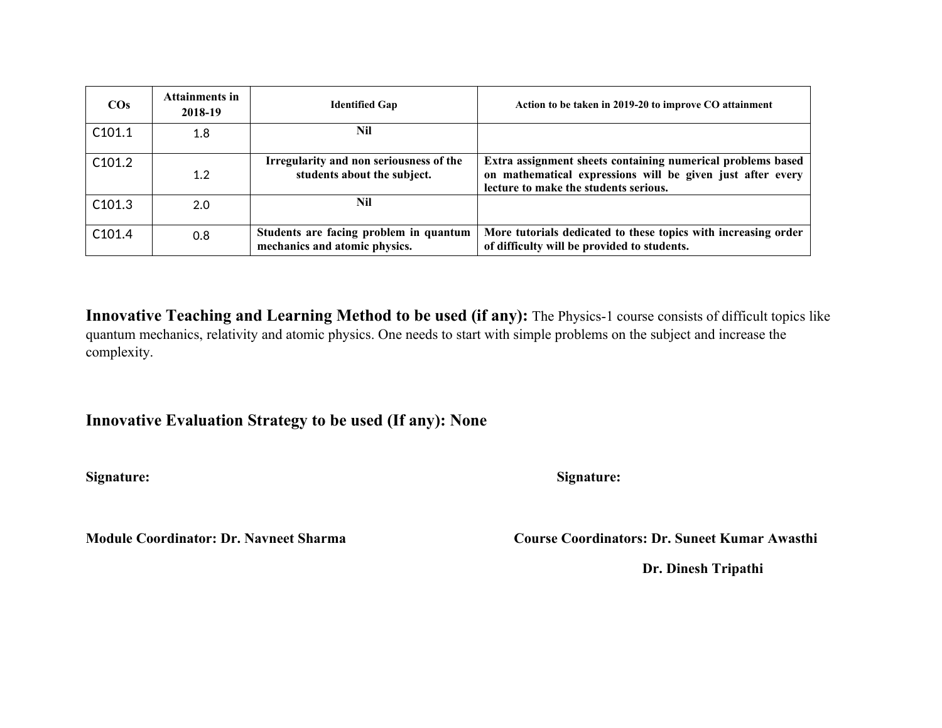| $\cos$             | <b>Attainments in</b><br>2018-19 | <b>Identified Gap</b>                                                   | Action to be taken in 2019-20 to improve CO attainment                                                                                                             |
|--------------------|----------------------------------|-------------------------------------------------------------------------|--------------------------------------------------------------------------------------------------------------------------------------------------------------------|
| C101.1             | 1.8                              | Nil                                                                     |                                                                                                                                                                    |
| C101.2             | 1.2                              | Irregularity and non seriousness of the<br>students about the subject.  | Extra assignment sheets containing numerical problems based<br>on mathematical expressions will be given just after every<br>lecture to make the students serious. |
| C <sub>101.3</sub> | 2.0                              | Nil                                                                     |                                                                                                                                                                    |
| C <sub>101.4</sub> | 0.8                              | Students are facing problem in quantum<br>mechanics and atomic physics. | More tutorials dedicated to these topics with increasing order<br>of difficulty will be provided to students.                                                      |

**Innovative Teaching and Learning Method to be used (if any):** The Physics-1 course consists of difficult topics like quantum mechanics, relativity and atomic physics. One needs to start with simple problems on the subject and increase the complexity.

**Innovative Evaluation Strategy to be used (If any): None** 

**Signature: Signature:** 

**Module Coordinator: Dr. Navneet Sharma Course Course Coordinators: Dr. Suneet Kumar Awasthi** 

**Dr. Dinesh Tripathi**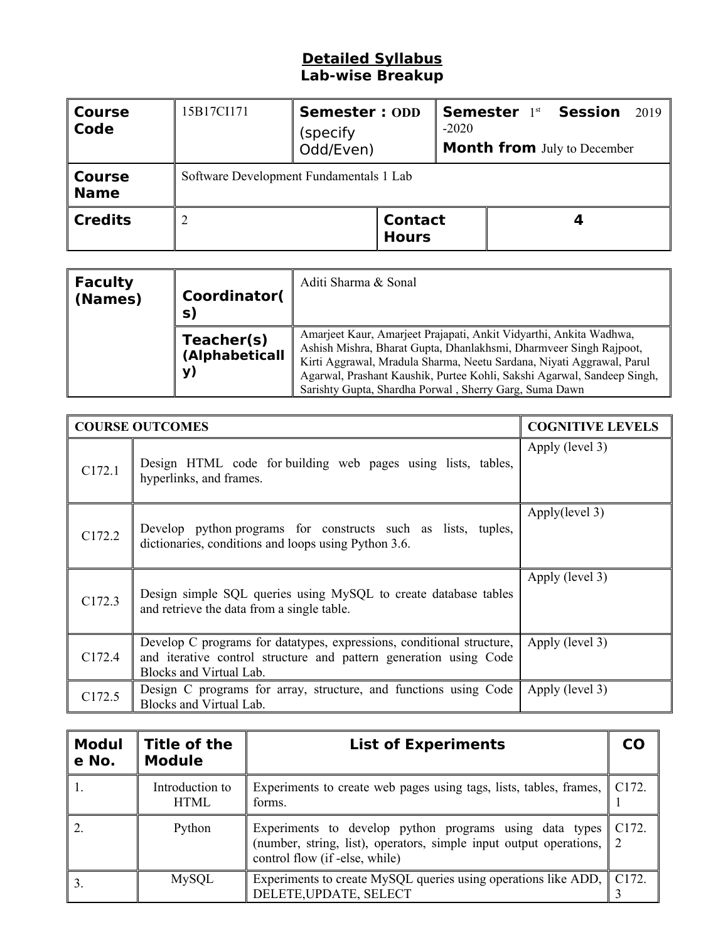#### **Detailed Syllabus Lab-wise Breakup**

| <b>Course</b><br>Code        | 15B17CI171                              | <b>Semester: ODD</b><br>(specify)<br>Odd/Even) | $-2020$                        | <b>Semester 1st Session</b><br><b>Month from</b> July to December | 2019 |  |  |
|------------------------------|-----------------------------------------|------------------------------------------------|--------------------------------|-------------------------------------------------------------------|------|--|--|
| <b>Course</b><br><b>Name</b> | Software Development Fundamentals 1 Lab |                                                |                                |                                                                   |      |  |  |
| <b>Credits</b>               |                                         |                                                | <b>Contact</b><br><b>Hours</b> |                                                                   |      |  |  |

| <b>Faculty</b><br>(Names) | Coordinator(<br>S)                 | Aditi Sharma & Sonal                                                                                                                                                                                                                                                                                                                                   |
|---------------------------|------------------------------------|--------------------------------------------------------------------------------------------------------------------------------------------------------------------------------------------------------------------------------------------------------------------------------------------------------------------------------------------------------|
|                           | Teacher(s)<br>(Alphabeticall<br>y) | Amarjeet Kaur, Amarjeet Prajapati, Ankit Vidyarthi, Ankita Wadhwa,<br>Ashish Mishra, Bharat Gupta, Dhanlakhsmi, Dharmveer Singh Rajpoot,<br>Kirti Aggrawal, Mradula Sharma, Neetu Sardana, Niyati Aggrawal, Parul<br>Agarwal, Prashant Kaushik, Purtee Kohli, Sakshi Agarwal, Sandeep Singh,<br>Sarishty Gupta, Shardha Porwal, Sherry Garg, Suma Dawn |

|        | <b>COURSE OUTCOMES</b>                                                                                                                                                | <b>COGNITIVE LEVELS</b> |
|--------|-----------------------------------------------------------------------------------------------------------------------------------------------------------------------|-------------------------|
| C172.1 | Design HTML code for building web pages using lists, tables,<br>hyperlinks, and frames.                                                                               | Apply (level 3)         |
| C172.2 | Develop python programs for constructs such as lists, tuples,<br>dictionaries, conditions and loops using Python 3.6.                                                 | Apply(level 3)          |
| C172.3 | Design simple SQL queries using MySQL to create database tables<br>and retrieve the data from a single table.                                                         | Apply (level 3)         |
| C172.4 | Develop C programs for datatypes, expressions, conditional structure,<br>and iterative control structure and pattern generation using Code<br>Blocks and Virtual Lab. | Apply (level 3)         |
| C172.5 | Design C programs for array, structure, and functions using Code<br>Blocks and Virtual Lab.                                                                           | Apply (level 3)         |

| <b>Modul</b><br>e No. | Title of the<br><b>Module</b>  | <b>List of Experiments</b>                                                                                                                                      |                    |  |  |
|-----------------------|--------------------------------|-----------------------------------------------------------------------------------------------------------------------------------------------------------------|--------------------|--|--|
|                       | Introduction to<br><b>HTML</b> | Experiments to create web pages using tags, lists, tables, frames,<br>forms.                                                                                    | C <sub>172</sub> . |  |  |
|                       | Python                         | Experiments to develop python programs using data types<br>(number, string, list), operators, simple input output operations,<br>control flow (if -else, while) | C <sub>172</sub> . |  |  |
|                       | MySQL                          | Experiments to create MySQL queries using operations like ADD, C172.<br>DELETE, UPDATE, SELECT                                                                  |                    |  |  |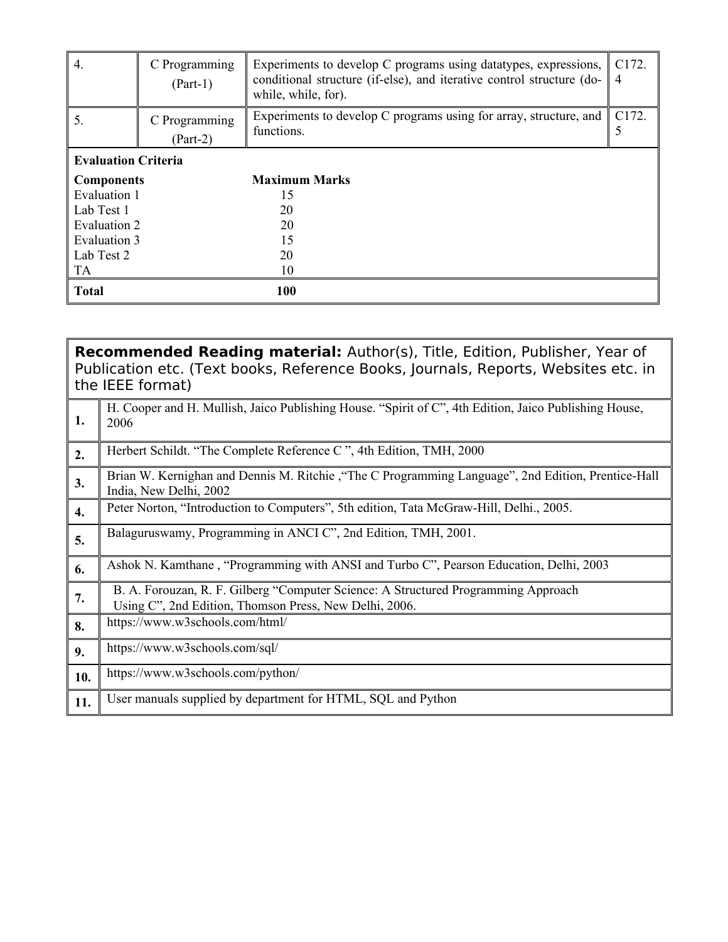| 4.                         | C Programming<br>$(Part-1)$ | Experiments to develop C programs using datatypes, expressions,<br>conditional structure (if-else), and iterative control structure (do-<br>while, while, for). | C172.<br>$\overline{4}$ |
|----------------------------|-----------------------------|-----------------------------------------------------------------------------------------------------------------------------------------------------------------|-------------------------|
| 5.                         | C Programming<br>$(Part-2)$ | Experiments to develop C programs using for array, structure, and<br>functions.                                                                                 | C <sub>172</sub> .<br>5 |
| <b>Evaluation Criteria</b> |                             |                                                                                                                                                                 |                         |
| <b>Components</b>          |                             | <b>Maximum Marks</b>                                                                                                                                            |                         |
| Evaluation 1               |                             | 15                                                                                                                                                              |                         |
| Lab Test 1                 |                             | 20                                                                                                                                                              |                         |
| Evaluation 2               |                             | 20                                                                                                                                                              |                         |
| Evaluation 3               |                             | 15                                                                                                                                                              |                         |
| Lab Test 2                 |                             | 20                                                                                                                                                              |                         |
| TA                         |                             | 10                                                                                                                                                              |                         |
| <b>Total</b>               |                             | <b>100</b>                                                                                                                                                      |                         |

|     | <b>Recommended Reading material:</b> Author(s), Title, Edition, Publisher, Year of<br>Publication etc. (Text books, Reference Books, Journals, Reports, Websites etc. in<br>the IEEE format) |
|-----|----------------------------------------------------------------------------------------------------------------------------------------------------------------------------------------------|
| 1.  | H. Cooper and H. Mullish, Jaico Publishing House. "Spirit of C", 4th Edition, Jaico Publishing House,<br>2006                                                                                |
| 2.  | Herbert Schildt. "The Complete Reference C", 4th Edition, TMH, 2000                                                                                                                          |
| 3.  | Brian W. Kernighan and Dennis M. Ritchie, "The C Programming Language", 2nd Edition, Prentice-Hall<br>India, New Delhi, 2002                                                                 |
| 4.  | Peter Norton, "Introduction to Computers", 5th edition, Tata McGraw-Hill, Delhi., 2005.                                                                                                      |
| 5.  | Balaguruswamy, Programming in ANCI C", 2nd Edition, TMH, 2001.                                                                                                                               |
| 6.  | Ashok N. Kamthane, "Programming with ANSI and Turbo C", Pearson Education, Delhi, 2003                                                                                                       |
| 7.  | B. A. Forouzan, R. F. Gilberg "Computer Science: A Structured Programming Approach<br>Using C", 2nd Edition, Thomson Press, New Delhi, 2006.                                                 |
| 8.  | https://www.w3schools.com/html/                                                                                                                                                              |
| 9.  | https://www.w3schools.com/sql/                                                                                                                                                               |
| 10. | https://www.w3schools.com/python/                                                                                                                                                            |
| 11. | User manuals supplied by department for HTML, SQL and Python                                                                                                                                 |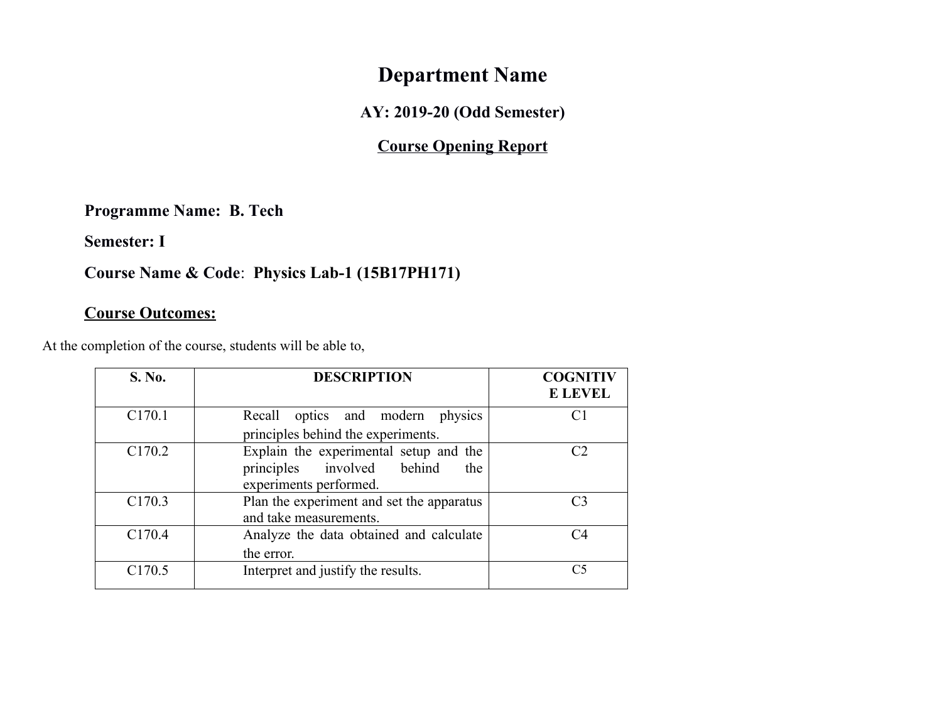# **Department Name**

**AY: 2019-20 (Odd Semester)**

## **Course Opening Report**

**Programme Name: B. Tech**

**Semester: I**

## **Course Name & Code**: **Physics Lab-1 (15B17PH171)**

### **Course Outcomes:**

At the completion of the course, students will be able to,

| S. No.             | <b>DESCRIPTION</b>                                                                                    | <b>COGNITIV</b><br><b>E LEVEL</b> |
|--------------------|-------------------------------------------------------------------------------------------------------|-----------------------------------|
| C <sub>170.1</sub> | Recall optics and modern physics<br>principles behind the experiments.                                | C1                                |
| C <sub>170.2</sub> | Explain the experimental setup and the<br>principles involved behind<br>the<br>experiments performed. | C2                                |
| C <sub>170.3</sub> | Plan the experiment and set the apparatus<br>and take measurements.                                   | C3                                |
| C <sub>170.4</sub> | Analyze the data obtained and calculate<br>the error.                                                 | C4                                |
| C <sub>170.5</sub> | Interpret and justify the results.                                                                    | C <sub>5</sub>                    |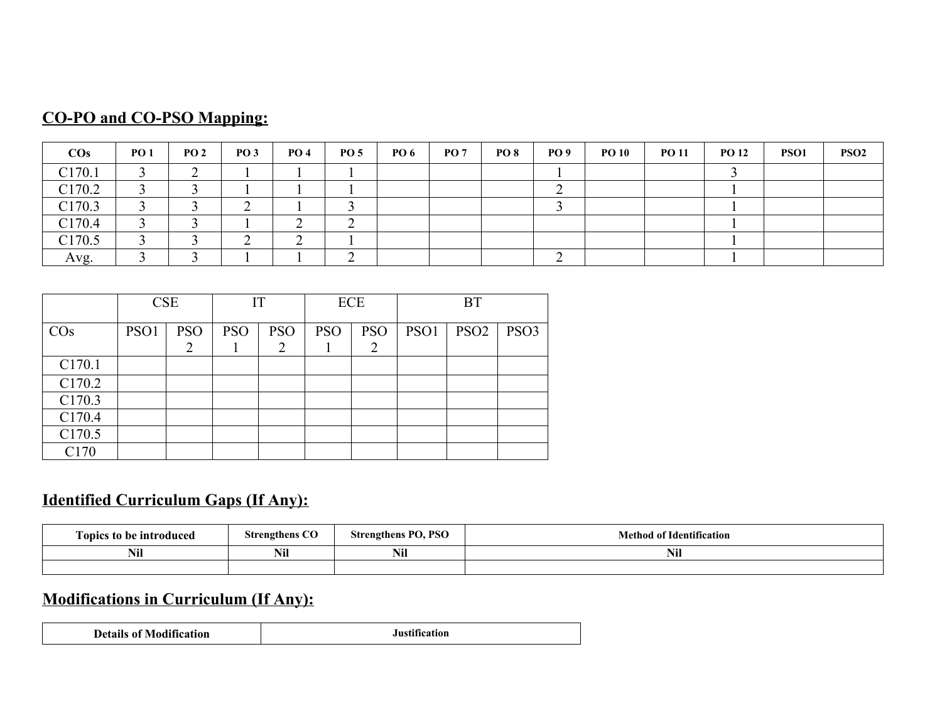|  | <b>CO-PO and CO-PSO Mapping:</b> |  |
|--|----------------------------------|--|
|  |                                  |  |

| $\cos$ | <b>PO 1</b> | <b>PO 2</b> | PO <sub>3</sub> | <b>PO 4</b> | <b>PO 5</b> | <b>PO 6</b> | PO <sub>7</sub> | <b>PO 8</b> | <b>PO</b> 9 | <b>PO 10</b> | <b>PO 11</b> | <b>PO 12</b> | PSO <sub>1</sub> | PSO <sub>2</sub> |
|--------|-------------|-------------|-----------------|-------------|-------------|-------------|-----------------|-------------|-------------|--------------|--------------|--------------|------------------|------------------|
| C170.1 | $\sim$      | ∼           |                 |             |             |             |                 |             |             |              |              |              |                  |                  |
| C170.2 |             |             |                 |             |             |             |                 |             | ∼           |              |              |              |                  |                  |
| C170.3 |             |             | ◠<br>∼          |             |             |             |                 |             |             |              |              |              |                  |                  |
| C170.4 |             |             |                 |             | ∸           |             |                 |             |             |              |              |              |                  |                  |
| C170.5 |             |             | $\sqrt{2}$<br>∼ |             |             |             |                 |             |             |              |              |              |                  |                  |
| Avg.   |             |             |                 |             | ⌒           |             |                 |             | ⌒<br>∸      |              |              |              |                  |                  |

|                    | <b>CSE</b>       |            | IT         |            | ECE        |            | <b>BT</b>        |                  |                  |
|--------------------|------------------|------------|------------|------------|------------|------------|------------------|------------------|------------------|
| $\cos$             | PSO <sub>1</sub> | <b>PSO</b> | <b>PSO</b> | <b>PSO</b> | <b>PSO</b> | <b>PSO</b> | PSO <sub>1</sub> | PSO <sub>2</sub> | PSO <sub>3</sub> |
|                    |                  |            |            | 2          |            | 2          |                  |                  |                  |
| C <sub>170.1</sub> |                  |            |            |            |            |            |                  |                  |                  |
| C170.2             |                  |            |            |            |            |            |                  |                  |                  |
| C170.3             |                  |            |            |            |            |            |                  |                  |                  |
| C170.4             |                  |            |            |            |            |            |                  |                  |                  |
| C <sub>170.5</sub> |                  |            |            |            |            |            |                  |                  |                  |
| C <sub>170</sub>   |                  |            |            |            |            |            |                  |                  |                  |

## **Identified Curriculum Gaps (If Any):**

| Fopics to be introduced | <b>Strengthens CO</b>                       | <b>Strengthens PO, PSO</b> | <b>Method of Identification</b> |
|-------------------------|---------------------------------------------|----------------------------|---------------------------------|
| Nil                     | $\blacksquare$<br><b>ATOR</b><br>Nil<br>Nil |                            | T<br>Nil                        |
|                         |                                             |                            |                                 |

# **Modifications in Curriculum (If Any):**

| <b>Details of Modification</b> | $\cdots$<br>atıon |
|--------------------------------|-------------------|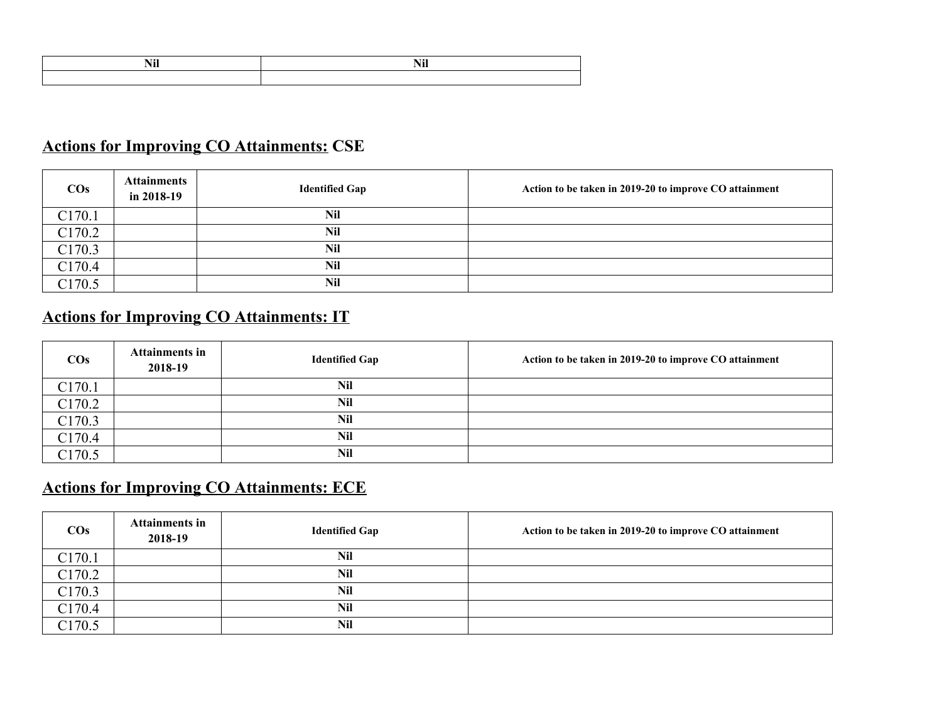## **Actions for Improving CO Attainments: CSE**

| $\cos$             | <b>Attainments</b><br>in $2018-19$ | <b>Identified Gap</b> | Action to be taken in 2019-20 to improve CO attainment |
|--------------------|------------------------------------|-----------------------|--------------------------------------------------------|
| C170.1             |                                    | Nil                   |                                                        |
| C <sub>170.2</sub> |                                    | Nil                   |                                                        |
| C <sub>170.3</sub> |                                    | Nil                   |                                                        |
| C <sub>170.4</sub> |                                    | Nil                   |                                                        |
| C <sub>170.5</sub> |                                    | Nil                   |                                                        |

## **Actions for Improving CO Attainments: IT**

| $\cos$             | <b>Attainments in</b><br>2018-19 | <b>Identified Gap</b> | Action to be taken in 2019-20 to improve CO attainment |
|--------------------|----------------------------------|-----------------------|--------------------------------------------------------|
| C <sub>170.1</sub> |                                  | Nil                   |                                                        |
| C <sub>170.2</sub> |                                  | Nil                   |                                                        |
| C <sub>170.3</sub> |                                  | Nil                   |                                                        |
| C170.4             |                                  | Nil                   |                                                        |
| C <sub>170.5</sub> |                                  | Nil                   |                                                        |

## **Actions for Improving CO Attainments: ECE**

| $\cos$             | <b>Attainments in</b><br>2018-19 | <b>Identified Gap</b> | Action to be taken in 2019-20 to improve CO attainment |
|--------------------|----------------------------------|-----------------------|--------------------------------------------------------|
| C <sub>170.1</sub> |                                  | Nil                   |                                                        |
| C <sub>170.2</sub> |                                  | Nil                   |                                                        |
| C170.3             |                                  | Nil                   |                                                        |
| C <sub>170.4</sub> |                                  | Nil                   |                                                        |
| C <sub>170.5</sub> |                                  | Nil                   |                                                        |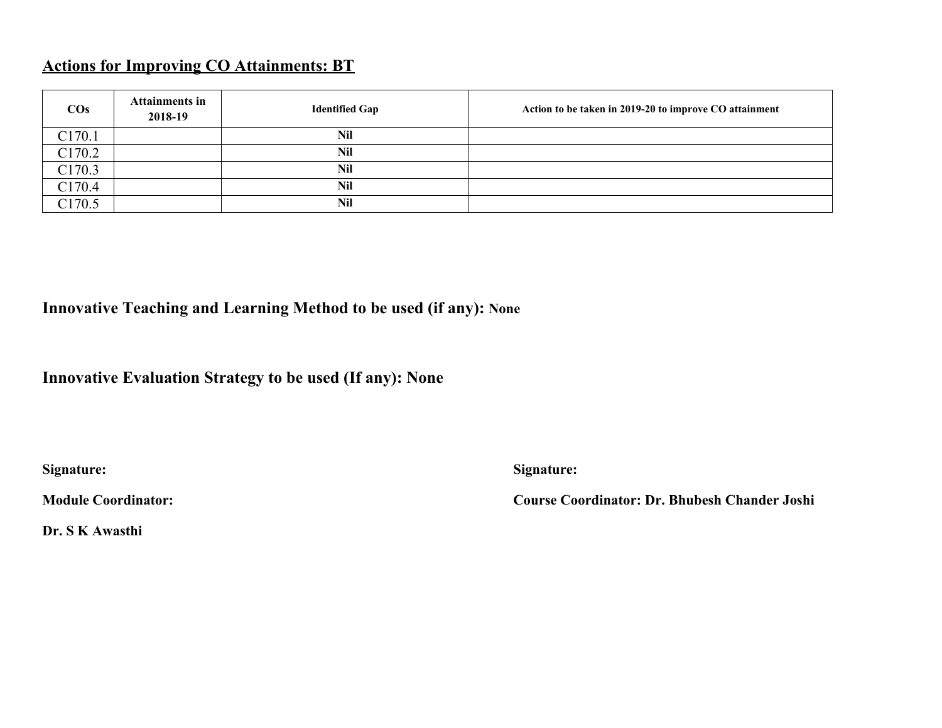## **Actions for Improving CO Attainments: BT**

| $\cos$             | <b>Attainments in</b><br>2018-19 | <b>Identified Gap</b> | Action to be taken in 2019-20 to improve CO attainment |
|--------------------|----------------------------------|-----------------------|--------------------------------------------------------|
| C <sub>170.1</sub> |                                  | Nil                   |                                                        |
| C <sub>170.2</sub> |                                  | Nil                   |                                                        |
| C <sub>170.3</sub> |                                  | Nil                   |                                                        |
| C170.4             |                                  | Nil                   |                                                        |
| C <sub>170.5</sub> |                                  | Nil                   |                                                        |

## **Innovative Teaching and Learning Method to be used (if any): None**

### **Innovative Evaluation Strategy to be used (If any): None**

**Signature: Signature:** 

**Module Coordinator: Course Coordinator: Dr. Bhubesh Chander Joshi**

**Dr. S K Awasthi**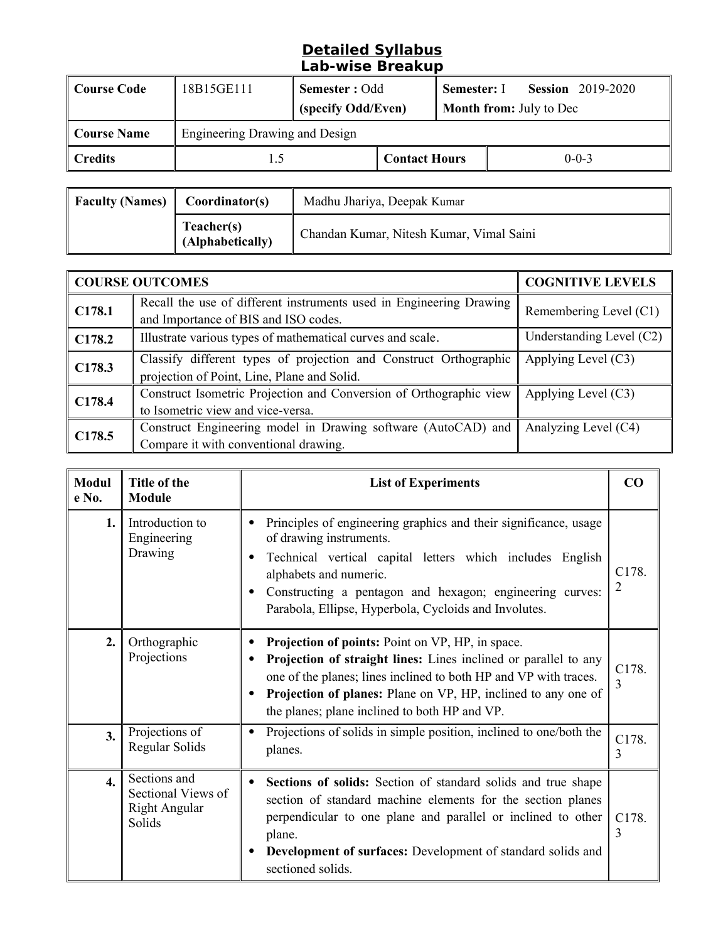#### **Detailed Syllabus Lab-wise Breakup**

| Course Code        | 18B15GE111                     | Semester : Odd<br>(specify Odd/Even) |                      | Semester: I | <b>Session</b> 2019-2020<br><b>Month from:</b> July to Dec |
|--------------------|--------------------------------|--------------------------------------|----------------------|-------------|------------------------------------------------------------|
| <b>Course Name</b> | Engineering Drawing and Design |                                      |                      |             |                                                            |
| <b>Credits</b>     | L.5                            |                                      | <b>Contact Hours</b> |             | $0 - 0 - 3$                                                |

| <b>Faculty (Names)</b> | Coordinator(s)                 | Madhu Jhariya, Deepak Kumar              |
|------------------------|--------------------------------|------------------------------------------|
|                        | Teacher(s)<br>(Alphabetically) | Chandan Kumar, Nitesh Kumar, Vimal Saini |

| <b>COURSE OUTCOMES</b> |                                                                                                                  | <b>COGNITIVE LEVELS</b>  |
|------------------------|------------------------------------------------------------------------------------------------------------------|--------------------------|
| C178.1                 | Recall the use of different instruments used in Engineering Drawing<br>and Importance of BIS and ISO codes.      | Remembering Level (C1)   |
| C178.2                 | Illustrate various types of mathematical curves and scale.                                                       | Understanding Level (C2) |
| C178.3                 | Classify different types of projection and Construct Orthographic<br>projection of Point, Line, Plane and Solid. | Applying Level $(C3)$    |
| C178.4                 | Construct Isometric Projection and Conversion of Orthographic view<br>to Isometric view and vice-versa.          | Applying Level (C3)      |
| C178.5                 | Construct Engineering model in Drawing software (AutoCAD) and<br>Compare it with conventional drawing.           | Analyzing Level (C4)     |

| <b>Modul</b><br>e No. | Title of the<br><b>Module</b>                                        | <b>List of Experiments</b>                                                                                                                                                                                                                                                                                                        | CO                                   |
|-----------------------|----------------------------------------------------------------------|-----------------------------------------------------------------------------------------------------------------------------------------------------------------------------------------------------------------------------------------------------------------------------------------------------------------------------------|--------------------------------------|
| 1.                    | Introduction to<br>Engineering<br>Drawing                            | Principles of engineering graphics and their significance, usage<br>$\bullet$<br>of drawing instruments.<br>Technical vertical capital letters which includes English<br>٠<br>alphabets and numeric.<br>Constructing a pentagon and hexagon; engineering curves:<br>٠<br>Parabola, Ellipse, Hyperbola, Cycloids and Involutes.    | C <sub>178</sub> .<br>$\overline{2}$ |
| 2.                    | Orthographic<br>Projections                                          | <b>Projection of points:</b> Point on VP, HP, in space.<br>Projection of straight lines: Lines inclined or parallel to any<br>٠<br>one of the planes; lines inclined to both HP and VP with traces.<br><b>Projection of planes:</b> Plane on VP, HP, inclined to any one of<br>٠<br>the planes; plane inclined to both HP and VP. | C178.<br>3                           |
| 3.                    | Projections of<br>Regular Solids                                     | Projections of solids in simple position, inclined to one/both the<br>planes.                                                                                                                                                                                                                                                     | C178.<br>3                           |
| $\overline{4}$ .      | Sections and<br>Sectional Views of<br><b>Right Angular</b><br>Solids | Sections of solids: Section of standard solids and true shape<br>٠<br>section of standard machine elements for the section planes<br>perpendicular to one plane and parallel or inclined to other<br>plane.<br>Development of surfaces: Development of standard solids and<br>sectioned solids.                                   | C178.<br>3                           |